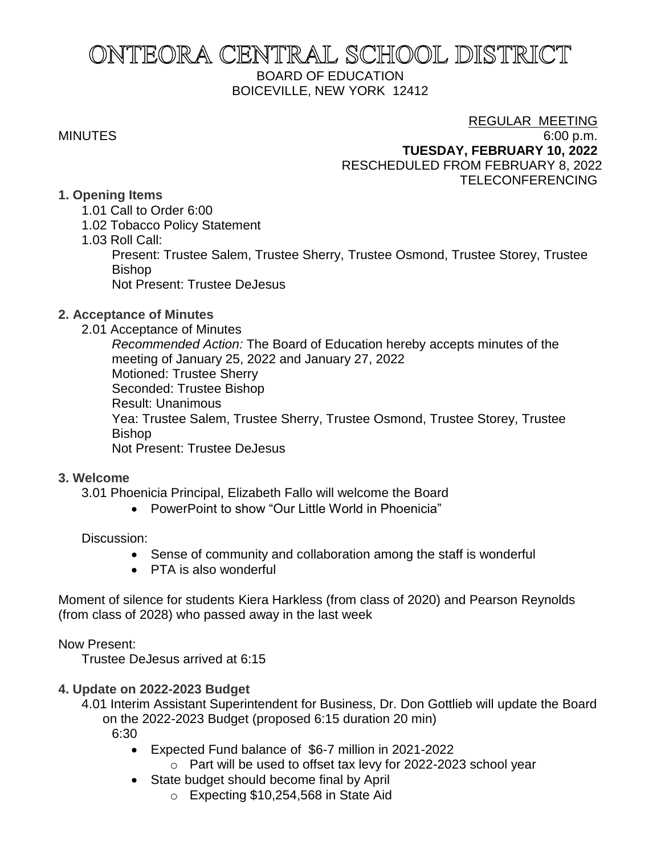# ONTEORA CENTRAL SCHOOL DISTRICT BOARD OF EDUCATION BOICEVILLE, NEW YORK 12412

## REGULAR MEETING

MINUTES 6:00 p.m.

**TUESDAY, FEBRUARY 10, 2022** RESCHEDULED FROM FEBRUARY 8, 2022 TELECONFERENCING

## **1. Opening Items**

- 1.01 Call to Order 6:00
- 1.02 Tobacco Policy Statement
- 1.03 Roll Call:

Present: Trustee Salem, Trustee Sherry, Trustee Osmond, Trustee Storey, Trustee Bishop

Not Present: Trustee DeJesus

## **2. Acceptance of Minutes**

2.01 Acceptance of Minutes

*Recommended Action:* The Board of Education hereby accepts minutes of the meeting of January 25, 2022 and January 27, 2022 Motioned: Trustee Sherry Seconded: Trustee Bishop Result: Unanimous Yea: Trustee Salem, Trustee Sherry, Trustee Osmond, Trustee Storey, Trustee Bishop Not Present: Trustee DeJesus

## **3. Welcome**

3.01 Phoenicia Principal, Elizabeth Fallo will welcome the Board

• PowerPoint to show "Our Little World in Phoenicia"

Discussion:

- Sense of community and collaboration among the staff is wonderful
- PTA is also wonderful

Moment of silence for students Kiera Harkless (from class of 2020) and Pearson Reynolds (from class of 2028) who passed away in the last week

Now Present:

Trustee DeJesus arrived at 6:15

## **4. Update on 2022-2023 Budget**

4.01 Interim Assistant Superintendent for Business, Dr. Don Gottlieb will update the Board on the 2022-2023 Budget (proposed 6:15 duration 20 min)

6:30

- Expected Fund balance of \$6-7 million in 2021-2022
	- o Part will be used to offset tax levy for 2022-2023 school year
- State budget should become final by April
	- o Expecting \$10,254,568 in State Aid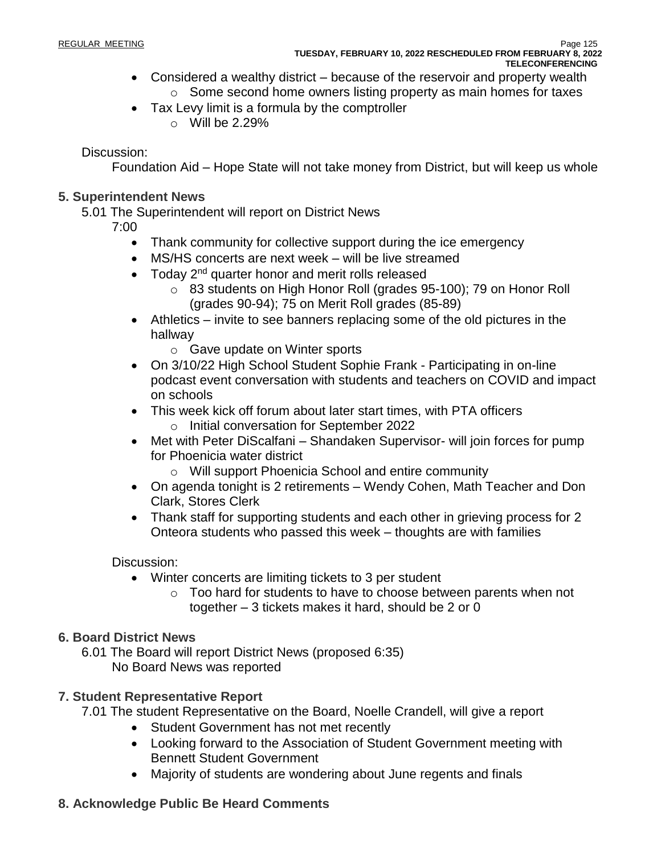- Considered a wealthy district because of the reservoir and property wealth  $\circ$  Some second home owners listing property as main homes for taxes
- Tax Levy limit is a formula by the comptroller
	- $\circ$  Will be 2.29%

## Discussion:

Foundation Aid – Hope State will not take money from District, but will keep us whole

## **5. Superintendent News**

5.01 The Superintendent will report on District News

7:00

- Thank community for collective support during the ice emergency
- MS/HS concerts are next week will be live streamed
- Today 2<sup>nd</sup> quarter honor and merit rolls released
	- o 83 students on High Honor Roll (grades 95-100); 79 on Honor Roll (grades 90-94); 75 on Merit Roll grades (85-89)
- Athletics invite to see banners replacing some of the old pictures in the hallway
	- o Gave update on Winter sports
- On 3/10/22 High School Student Sophie Frank Participating in on-line podcast event conversation with students and teachers on COVID and impact on schools
- This week kick off forum about later start times, with PTA officers o Initial conversation for September 2022
- Met with Peter DiScalfani Shandaken Supervisor- will join forces for pump for Phoenicia water district
	- o Will support Phoenicia School and entire community
- On agenda tonight is 2 retirements Wendy Cohen, Math Teacher and Don Clark, Stores Clerk
- Thank staff for supporting students and each other in grieving process for 2 Onteora students who passed this week – thoughts are with families

Discussion:

- Winter concerts are limiting tickets to 3 per student
	- o Too hard for students to have to choose between parents when not together – 3 tickets makes it hard, should be 2 or 0

## **6. Board District News**

6.01 The Board will report District News (proposed 6:35) No Board News was reported

## **7. Student Representative Report**

7.01 The student Representative on the Board, Noelle Crandell, will give a report

- Student Government has not met recently
- Looking forward to the Association of Student Government meeting with Bennett Student Government
- Majority of students are wondering about June regents and finals

## **8. Acknowledge Public Be Heard Comments**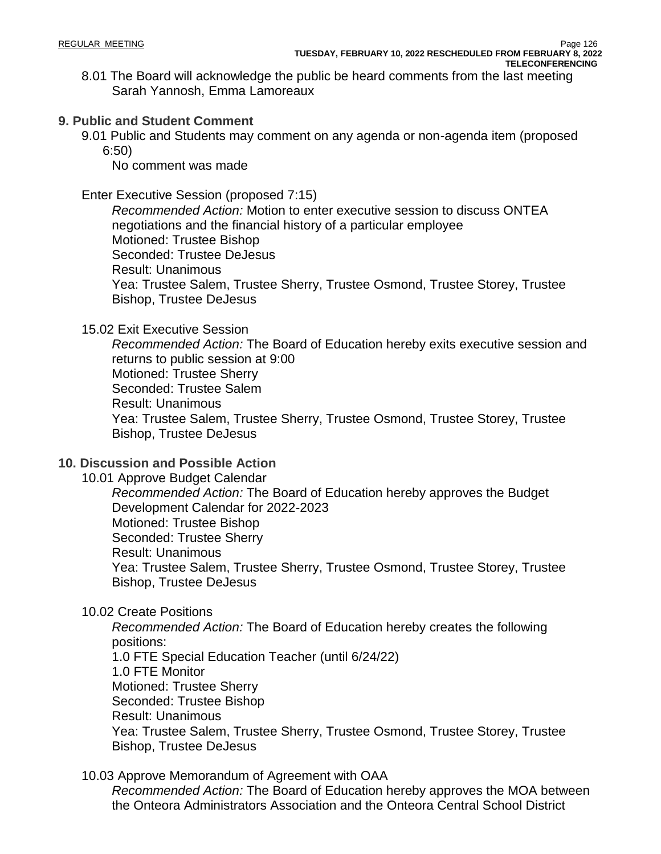8.01 The Board will acknowledge the public be heard comments from the last meeting Sarah Yannosh, Emma Lamoreaux

## **9. Public and Student Comment**

9.01 Public and Students may comment on any agenda or non-agenda item (proposed 6:50)

No comment was made

## Enter Executive Session (proposed 7:15)

*Recommended Action:* Motion to enter executive session to discuss ONTEA negotiations and the financial history of a particular employee Motioned: Trustee Bishop Seconded: Trustee DeJesus Result: Unanimous Yea: Trustee Salem, Trustee Sherry, Trustee Osmond, Trustee Storey, Trustee Bishop, Trustee DeJesus

## 15.02 Exit Executive Session

*Recommended Action:* The Board of Education hereby exits executive session and returns to public session at 9:00 Motioned: Trustee Sherry Seconded: Trustee Salem Result: Unanimous Yea: Trustee Salem, Trustee Sherry, Trustee Osmond, Trustee Storey, Trustee Bishop, Trustee DeJesus

## **10. Discussion and Possible Action**

10.01 Approve Budget Calendar *Recommended Action:* The Board of Education hereby approves the Budget Development Calendar for 2022-2023 Motioned: Trustee Bishop Seconded: Trustee Sherry Result: Unanimous Yea: Trustee Salem, Trustee Sherry, Trustee Osmond, Trustee Storey, Trustee Bishop, Trustee DeJesus

## 10.02 Create Positions

*Recommended Action:* The Board of Education hereby creates the following positions: 1.0 FTE Special Education Teacher (until 6/24/22) 1.0 FTE Monitor Motioned: Trustee Sherry Seconded: Trustee Bishop Result: Unanimous Yea: Trustee Salem, Trustee Sherry, Trustee Osmond, Trustee Storey, Trustee Bishop, Trustee DeJesus

10.03 Approve Memorandum of Agreement with OAA

*Recommended Action:* The Board of Education hereby approves the MOA between the Onteora Administrators Association and the Onteora Central School District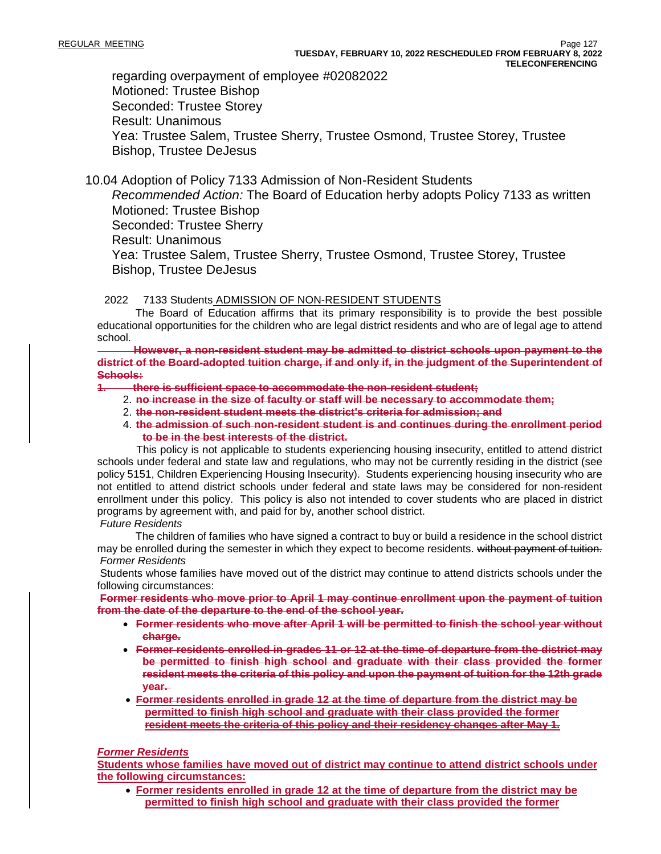regarding overpayment of employee #02082022 Motioned: Trustee Bishop Seconded: Trustee Storey Result: Unanimous Yea: Trustee Salem, Trustee Sherry, Trustee Osmond, Trustee Storey, Trustee Bishop, Trustee DeJesus

10.04 Adoption of Policy 7133 Admission of Non-Resident Students

*Recommended Action:* The Board of Education herby adopts Policy 7133 as written Motioned: Trustee Bishop Seconded: Trustee Sherry

Result: Unanimous

Yea: Trustee Salem, Trustee Sherry, Trustee Osmond, Trustee Storey, Trustee Bishop, Trustee DeJesus

#### 2022 7133 Students ADMISSION OF NON-RESIDENT STUDENTS

 The Board of Education affirms that its primary responsibility is to provide the best possible educational opportunities for the children who are legal district residents and who are of legal age to attend school.

 **However, a non-resident student may be admitted to district schools upon payment to the district of the Board-adopted tuition charge, if and only if, in the judgment of the Superintendent of Schools:**

#### **1. there is sufficient space to accommodate the non-resident student;**

- 2. **no increase in the size of faculty or staff will be necessary to accommodate them;**
- 2. **the non-resident student meets the district's criteria for admission; and**
- 4. **the admission of such non-resident student is and continues during the enrollment period to be in the best interests of the district.**

 This policy is not applicable to students experiencing housing insecurity, entitled to attend district schools under federal and state law and regulations, who may not be currently residing in the district (see policy 5151, Children Experiencing Housing Insecurity). Students experiencing housing insecurity who are not entitled to attend district schools under federal and state laws may be considered for non-resident enrollment under this policy. This policy is also not intended to cover students who are placed in district programs by agreement with, and paid for by, another school district.

*Future Residents*

 The children of families who have signed a contract to buy or build a residence in the school district may be enrolled during the semester in which they expect to become residents. without payment of tuition. *Former Residents*

Students whose families have moved out of the district may continue to attend districts schools under the following circumstances:

**Former residents who move prior to April 1 may continue enrollment upon the payment of tuition from the date of the departure to the end of the school year.**

- **Former residents who move after April 1 will be permitted to finish the school year without charge.**
- **Former residents enrolled in grades 11 or 12 at the time of departure from the district may be permitted to finish high school and graduate with their class provided the former resident meets the criteria of this policy and upon the payment of tuition for the 12th grade year.**
- **Former residents enrolled in grade 12 at the time of departure from the district may be permitted to finish high school and graduate with their class provided the former resident meets the criteria of this policy and their residency changes after May 1.**

## *Former Residents*

**Students whose families have moved out of district may continue to attend district schools under the following circumstances:**

• **Former residents enrolled in grade 12 at the time of departure from the district may be permitted to finish high school and graduate with their class provided the former**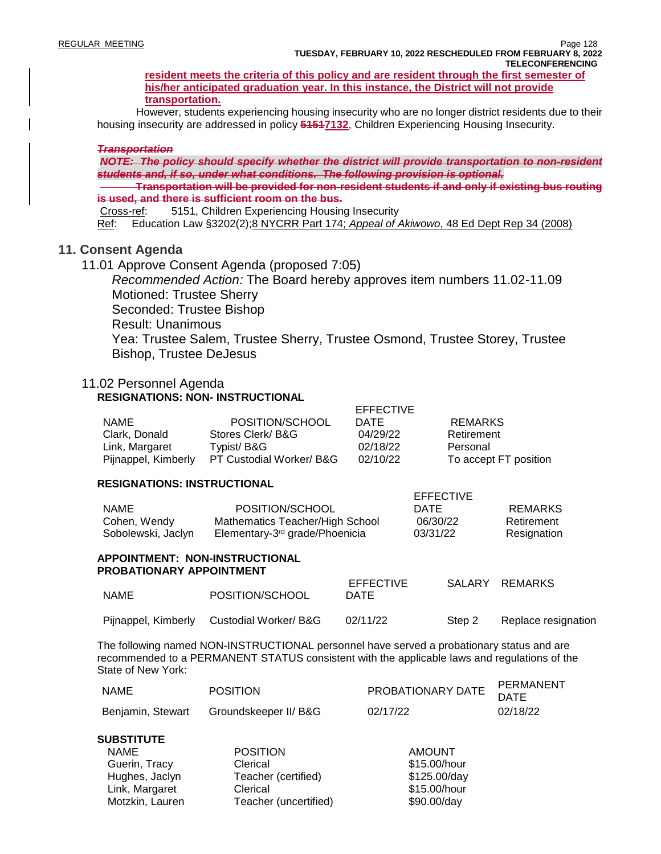**resident meets the criteria of this policy and are resident through the first semester of his/her anticipated graduation year. In this instance, the District will not provide transportation.**

However, students experiencing housing insecurity who are no longer district residents due to their housing insecurity are addressed in policy **51517132**, Children Experiencing Housing Insecurity.

#### *Transportation*

*NOTE: The policy should specify whether the district will provide transportation to non-resident students and, if so, under what conditions. The following provision is optional.*

 **Transportation will be provided for non-resident students if and only if existing bus routing is used, and there is sufficient room on the bus.**

Cross-ref: 5151, Children Experiencing Housing Insecurity

Ref: Education Law §3202(2);8 NYCRR Part 174; *Appeal of Akiwowo*, 48 Ed Dept Rep 34 (2008)

### **11. Consent Agenda**

11.01 Approve Consent Agenda (proposed 7:05)

*Recommended Action:* The Board hereby approves item numbers 11.02-11.09 Motioned: Trustee Sherry Seconded: Trustee Bishop

Result: Unanimous

Yea: Trustee Salem, Trustee Sherry, Trustee Osmond, Trustee Storey, Trustee Bishop, Trustee DeJesus

EFFECTIVE

#### 11.02 Personnel Agenda **RESIGNATIONS: NON- INSTRUCTIONAL**

|                          | EFFEUIIVE   |                       |
|--------------------------|-------------|-----------------------|
| POSITION/SCHOOL          | <b>DATE</b> | <b>REMARKS</b>        |
| Stores Clerk/B&G         | 04/29/22    | Retirement            |
| Tvpist/ B&G              | 02/18/22    | Personal              |
| PT Custodial Worker/ B&G | 02/10/22    | To accept FT position |
|                          |             |                       |

#### **RESIGNATIONS: INSTRUCTIONAL**

|                    |                                            | EFFECTIVE |             |
|--------------------|--------------------------------------------|-----------|-------------|
| <b>NAME</b>        | POSITION/SCHOOL                            | DATE      | REMARKS     |
| Cohen, Wendy       | Mathematics Teacher/High School            | 06/30/22  | Retirement  |
| Sobolewski, Jaclyn | Elementary-3 <sup>rd</sup> grade/Phoenicia | 03/31/22  | Resignation |

#### **APPOINTMENT: NON-INSTRUCTIONAL PROBATIONARY APPOINTMENT**

| NAME | POSITION/SCHOOL                           | <b>EFFECTIVE</b><br><b>DATE</b> |        | SALARY REMARKS      |
|------|-------------------------------------------|---------------------------------|--------|---------------------|
|      | Pijnappel, Kimberly Custodial Worker/ B&G | 02/11/22                        | Step 2 | Replace resignation |

The following named NON-INSTRUCTIONAL personnel have served a probationary status and are recommended to a PERMANENT STATUS consistent with the applicable laws and regulations of the State of New York:

| NAME | <b>POSITION</b>                         | PROBATIONARY DATE FEINT WILL | PERMANENT |
|------|-----------------------------------------|------------------------------|-----------|
|      | Benjamin, Stewart Groundskeeper II/ B&G | 02/17/22                     | 02/18/22  |

| <b>SUBSTITUTE</b> |                       |               |
|-------------------|-----------------------|---------------|
| <b>NAME</b>       | <b>POSITION</b>       | <b>AMOUNT</b> |
| Guerin, Tracy     | Clerical              | \$15.00/hour  |
| Hughes, Jaclyn    | Teacher (certified)   | \$125.00/day  |
| Link, Margaret    | Clerical              | \$15.00/hour  |
| Motzkin, Lauren   | Teacher (uncertified) | \$90.00/day   |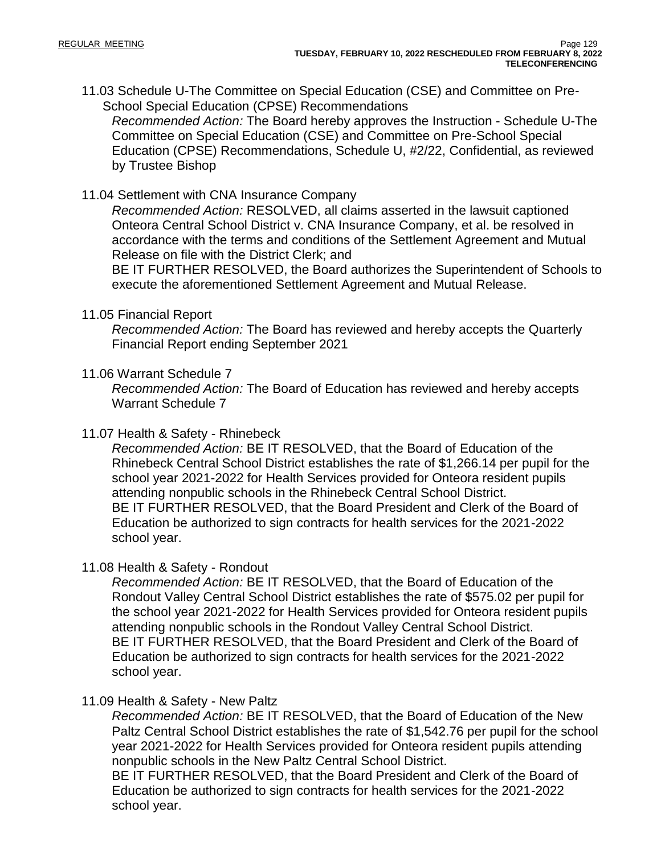11.03 Schedule U-The Committee on Special Education (CSE) and Committee on Pre-School Special Education (CPSE) Recommendations

*Recommended Action:* The Board hereby approves the Instruction - Schedule U-The Committee on Special Education (CSE) and Committee on Pre-School Special Education (CPSE) Recommendations, Schedule U, #2/22, Confidential, as reviewed by Trustee Bishop

11.04 Settlement with CNA Insurance Company

*Recommended Action:* RESOLVED, all claims asserted in the lawsuit captioned Onteora Central School District v. CNA Insurance Company, et al. be resolved in accordance with the terms and conditions of the Settlement Agreement and Mutual Release on file with the District Clerk; and

BE IT FURTHER RESOLVED, the Board authorizes the Superintendent of Schools to execute the aforementioned Settlement Agreement and Mutual Release.

## 11.05 Financial Report

*Recommended Action:* The Board has reviewed and hereby accepts the Quarterly Financial Report ending September 2021

## 11.06 Warrant Schedule 7

*Recommended Action:* The Board of Education has reviewed and hereby accepts Warrant Schedule 7

## 11.07 Health & Safety - Rhinebeck

*Recommended Action:* BE IT RESOLVED, that the Board of Education of the Rhinebeck Central School District establishes the rate of \$1,266.14 per pupil for the school year 2021-2022 for Health Services provided for Onteora resident pupils attending nonpublic schools in the Rhinebeck Central School District. BE IT FURTHER RESOLVED, that the Board President and Clerk of the Board of Education be authorized to sign contracts for health services for the 2021-2022 school year.

## 11.08 Health & Safety - Rondout

*Recommended Action:* BE IT RESOLVED, that the Board of Education of the Rondout Valley Central School District establishes the rate of \$575.02 per pupil for the school year 2021-2022 for Health Services provided for Onteora resident pupils attending nonpublic schools in the Rondout Valley Central School District. BE IT FURTHER RESOLVED, that the Board President and Clerk of the Board of Education be authorized to sign contracts for health services for the 2021-2022 school year.

## 11.09 Health & Safety - New Paltz

*Recommended Action:* BE IT RESOLVED, that the Board of Education of the New Paltz Central School District establishes the rate of \$1,542.76 per pupil for the school year 2021-2022 for Health Services provided for Onteora resident pupils attending nonpublic schools in the New Paltz Central School District.

BE IT FURTHER RESOLVED, that the Board President and Clerk of the Board of Education be authorized to sign contracts for health services for the 2021-2022 school year.